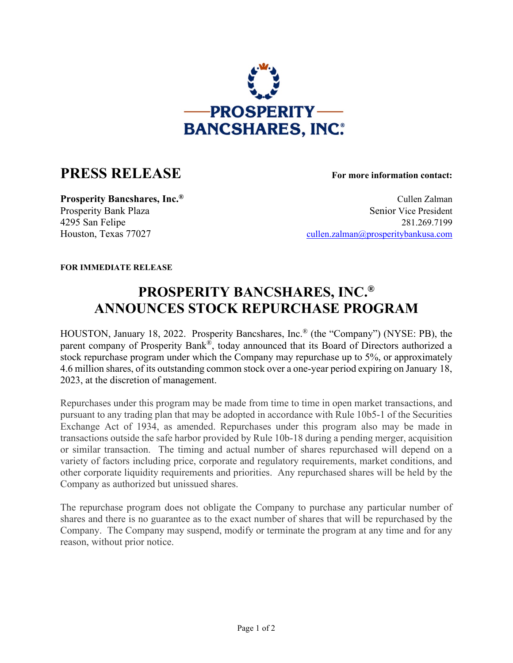

## **PRESS RELEASE For more information contact:**

**Prosperity Bancshares, Inc.**<sup>®</sup> Cullen Zalman Cullen Zalman Prosperity Bank Plaza Senior Vice President 4295 San Felipe 281.269.7199 Houston, Texas 77027 [cullen.zalman@prosperitybankusa.com](mailto:cullen.zalman@prosperitybankusa.com)

**FOR IMMEDIATE RELEASE**

## **PROSPERITY BANCSHARES, INC.® ANNOUNCES STOCK REPURCHASE PROGRAM**

HOUSTON, January 18, 2022. Prosperity Bancshares, Inc.® (the "Company") (NYSE: PB), the parent company of Prosperity Bank®, today announced that its Board of Directors authorized a stock repurchase program under which the Company may repurchase up to 5%, or approximately 4.6 million shares, of its outstanding common stock over a one-year period expiring on January 18, 2023, at the discretion of management.

Repurchases under this program may be made from time to time in open market transactions, and pursuant to any trading plan that may be adopted in accordance with Rule 10b5-1 of the Securities Exchange Act of 1934, as amended. Repurchases under this program also may be made in transactions outside the safe harbor provided by Rule 10b-18 during a pending merger, acquisition or similar transaction. The timing and actual number of shares repurchased will depend on a variety of factors including price, corporate and regulatory requirements, market conditions, and other corporate liquidity requirements and priorities. Any repurchased shares will be held by the Company as authorized but unissued shares.

The repurchase program does not obligate the Company to purchase any particular number of shares and there is no guarantee as to the exact number of shares that will be repurchased by the Company. The Company may suspend, modify or terminate the program at any time and for any reason, without prior notice.